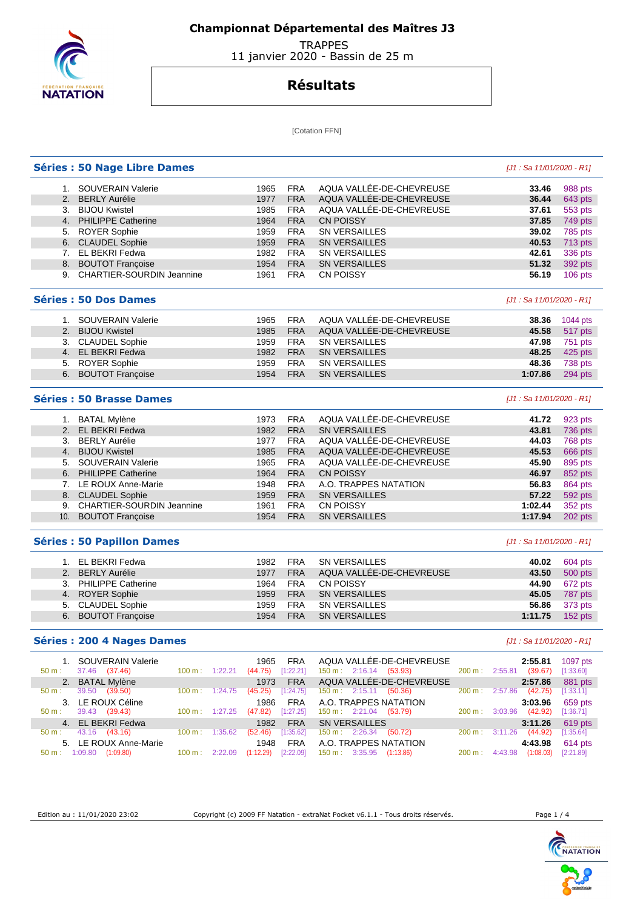

## **Championnat Départemental des Maîtres J3**

 TRAPPES 11 janvier 2020 - Bassin de 25 m

## **Résultats**

[Cotation FFN]

|       | <b>Séries : 50 Nage Libre Dames</b>                         |                          |                |                     |                         |                                                             | [J1 : Sa 11/01/2020 - R1]            |                      |
|-------|-------------------------------------------------------------|--------------------------|----------------|---------------------|-------------------------|-------------------------------------------------------------|--------------------------------------|----------------------|
|       | 1. SOUVERAIN Valerie                                        |                          |                | 1965                | <b>FRA</b>              | AQUA VALLÉE-DE-CHEVREUSE                                    | 33.46                                | 988 pts              |
|       | 2. BERLY Aurélie                                            |                          |                | 1977                | <b>FRA</b>              | AQUA VALLÉE-DE-CHEVREUSE                                    | 36.44                                | 643 pts              |
|       | 3. BIJOU Kwistel                                            |                          |                | 1985                | <b>FRA</b>              | AQUA VALLÉE-DE-CHEVREUSE                                    | 37.61                                | 553 pts              |
|       | 4. PHILIPPE Catherine                                       |                          |                | 1964                | <b>FRA</b>              | <b>CN POISSY</b>                                            | 37.85                                | 749 pts              |
|       | 5. ROYER Sophie                                             |                          |                | 1959                | <b>FRA</b>              | <b>SN VERSAILLES</b>                                        | 39.02                                | 785 pts              |
|       | 6. CLAUDEL Sophie                                           |                          |                | 1959                | <b>FRA</b>              | <b>SN VERSAILLES</b>                                        | 40.53                                | 713 pts              |
|       | 7. EL BEKRI Fedwa                                           |                          |                | 1982                | <b>FRA</b>              | <b>SN VERSAILLES</b>                                        | 42.61                                | 336 pts              |
|       | 8. BOUTOT Françoise                                         |                          |                | 1954                | <b>FRA</b>              | <b>SN VERSAILLES</b>                                        | 51.32                                | 392 pts              |
|       | 9. CHARTIER-SOURDIN Jeannine                                |                          |                | 1961                | <b>FRA</b>              | <b>CN POISSY</b>                                            | 56.19                                | 106 pts              |
|       | <b>Séries : 50 Dos Dames</b>                                |                          |                |                     |                         |                                                             | [J1 : Sa 11/01/2020 - R1]            |                      |
|       | 1. SOUVERAIN Valerie                                        |                          |                | 1965                | <b>FRA</b>              | AQUA VALLÉE-DE-CHEVREUSE                                    | 38.36                                | 1044 pts             |
|       | 2. BIJOU Kwistel                                            |                          |                | 1985                | <b>FRA</b>              | AQUA VALLÉE-DE-CHEVREUSE                                    | 45.58                                | 517 pts              |
|       | 3. CLAUDEL Sophie                                           |                          |                | 1959                | <b>FRA</b>              | <b>SN VERSAILLES</b>                                        | 47.98                                | 751 pts              |
|       | 4. EL BEKRI Fedwa                                           |                          |                | 1982                | <b>FRA</b>              | <b>SN VERSAILLES</b>                                        | 48.25                                | 425 pts              |
|       | 5. ROYER Sophie                                             |                          |                | 1959                | <b>FRA</b>              | <b>SN VERSAILLES</b>                                        | 48.36                                | 738 pts              |
|       | 6. BOUTOT Françoise                                         |                          |                | 1954                | <b>FRA</b>              | <b>SN VERSAILLES</b>                                        | 1:07.86                              | 294 pts              |
|       | <b>Séries : 50 Brasse Dames</b>                             |                          |                |                     |                         |                                                             | [J1 : Sa 11/01/2020 - R1]            |                      |
|       | 1. BATAL Mylène                                             |                          |                | 1973                | <b>FRA</b>              | AQUA VALLÉE-DE-CHEVREUSE                                    | 41.72                                | 923 pts              |
|       | 2. EL BEKRI Fedwa                                           |                          |                | 1982                | <b>FRA</b>              | <b>SN VERSAILLES</b>                                        | 43.81                                | 736 pts              |
|       | 3. BERLY Aurélie                                            |                          |                | 1977                | <b>FRA</b>              | AQUA VALLÉE-DE-CHEVREUSE                                    | 44.03                                | 768 pts              |
|       | 4. BIJOU Kwistel                                            |                          |                | 1985                | <b>FRA</b>              | AQUA VALLÉE-DE-CHEVREUSE                                    | 45.53                                | 666 pts              |
|       | 5. SOUVERAIN Valerie                                        |                          |                | 1965                | <b>FRA</b>              | AQUA VALLÉE-DE-CHEVREUSE                                    | 45.90                                | 895 pts              |
|       | 6. PHILIPPE Catherine                                       |                          |                | 1964                | <b>FRA</b>              | <b>CN POISSY</b>                                            | 46.97                                | 852 pts              |
|       | 7. LE ROUX Anne-Marie                                       |                          |                | 1948                | <b>FRA</b>              | A.O. TRAPPES NATATION                                       | 56.83                                | 864 pts              |
|       | 8. CLAUDEL Sophie                                           |                          |                | 1959                | <b>FRA</b>              | <b>SN VERSAILLES</b>                                        | 57.22                                | 592 pts              |
| 9.    | <b>CHARTIER-SOURDIN Jeannine</b>                            |                          |                | 1961                | <b>FRA</b>              | <b>CN POISSY</b>                                            | 1:02.44                              | 352 pts              |
|       | 10. BOUTOT Françoise                                        |                          |                | 1954                | <b>FRA</b>              | <b>SN VERSAILLES</b>                                        | 1:17.94                              | 202 pts              |
|       | <b>Séries : 50 Papillon Dames</b>                           |                          |                |                     |                         |                                                             | [J1 : Sa 11/01/2020 - R1]            |                      |
|       | 1. EL BEKRI Fedwa                                           |                          |                | 1982                | <b>FRA</b>              | <b>SN VERSAILLES</b>                                        | 40.02                                | 604 pts              |
|       | 2. BERLY Aurélie                                            |                          |                | 1977                | <b>FRA</b>              | AQUA VALLÉE-DE-CHEVREUSE                                    | 43.50                                | 500 pts              |
|       | 3. PHILIPPE Catherine                                       |                          |                | 1964                | <b>FRA</b>              | <b>CN POISSY</b>                                            | 44.90                                | 672 pts              |
|       | 4. ROYER Sophie                                             |                          |                | 1959                | <b>FRA</b>              | <b>SN VERSAILLES</b>                                        | 45.05                                | 787 pts              |
|       | 5. CLAUDEL Sophie                                           |                          |                | 1959                | <b>FRA</b>              | <b>SN VERSAILLES</b>                                        | 56.86                                | 373 pts              |
|       | 6. BOUTOT Françoise                                         |                          |                | 1954                | <b>FRA</b>              | <b>SN VERSAILLES</b>                                        | 1:11.75                              | 152 pts              |
|       | <b>Séries: 200 4 Nages Dames</b>                            |                          |                |                     |                         |                                                             | [J1 : Sa 11/01/2020 - R1]            |                      |
|       | 1. SOUVERAIN Valerie                                        |                          |                | 1965                | <b>FRA</b>              | AQUA VALLEE-DE-CHEVREUSE                                    | 2:55.81                              | 1097 pts             |
| 50 m: | 37.46 (37.46)                                               |                          | 100 m: 1:22.21 | $(44.75)$ [1:22.21] |                         | 150 m: 2:16.14 (53.93)                                      | 200 m : 2:55.81 (39.67)              | [1:33.60]            |
|       | 2. BATAL Mylène                                             |                          |                | 1973                | <b>FRA</b>              | AQUA VALLÉE-DE-CHEVREUSE                                    | 2:57.86                              | 881 pts              |
| 50 m: | 39.50 (39.50)                                               | 100 m: 1:24.75           |                | (45.25)             | [1:24.75]               | $150 \text{ m}: 2:15.11 (50.36)$                            | 200 m: 2:57.86 (42.75)               | [1:33.11]            |
|       | 3. LE ROUX Céline                                           |                          |                | 1986                | <b>FRA</b>              | A.O. TRAPPES NATATION                                       | 3:03.96                              | 659 pts              |
| 50 m: | 39.43 (39.43)                                               | 100 m: 1:27.25           |                | (47.82)             | $[1:27.25]$             | $150 \text{ m}: \quad 2:21.04 \quad (53.79)$                | 200 m : 3:03.96 (42.92)              | [1:36.71]            |
|       | 4. EL BEKRI Fedwa                                           |                          |                | 1982                | <b>FRA</b>              | SN VERSAILLES                                               | 3:11.26                              | $619$ pts            |
| 50 m: | 43.16 (43.16)                                               | $100 \text{ m}: 1:35.62$ |                | (52.46)             | [1:35.62]               | $150 \text{ m}: 2:26.34 (50.72)$                            | (44.92)<br>200 m: 3:11.26            | [1:35.64]            |
|       | 5. LE ROUX Anne-Marie<br>$50 \text{ m}$ : 1:09.80 (1:09.80) | 100 m: 2:22.09           |                | 1948<br>(1:12.29)   | <b>FRA</b><br>[2:22.09] | A.O. TRAPPES NATATION<br>$150 \text{ m}: 3:35.95 (1:13.86)$ | 4:43.98<br>200 m : 4:43.98 (1:08.03) | 614 pts<br>[2:21.89] |
|       |                                                             |                          |                |                     |                         |                                                             |                                      |                      |

Edition au : 11/01/2020 23:02 Copyright (c) 2009 FF Natation - extraNat Pocket v6.1.1 - Tous droits réservés. Page 1 / 4

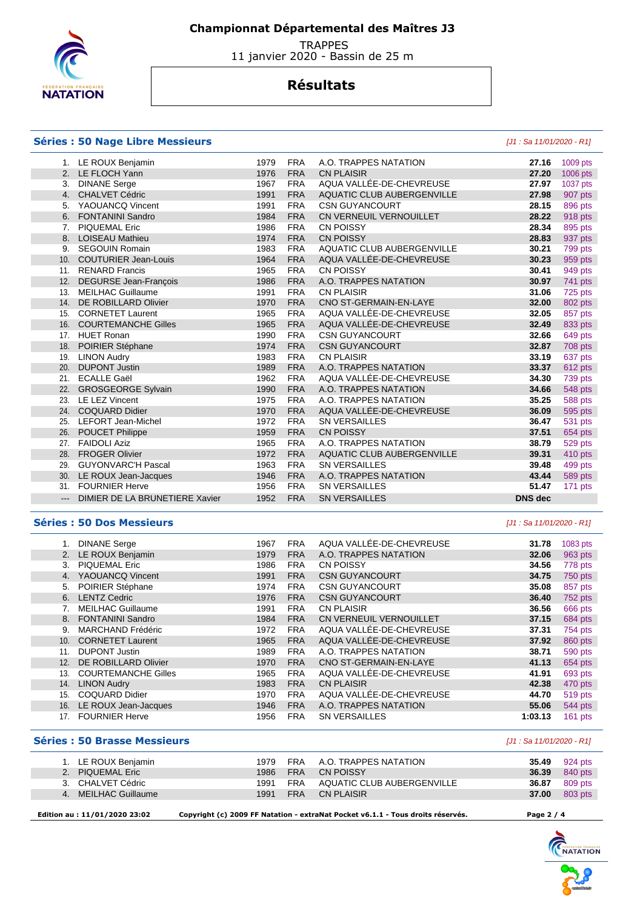

 **Championnat Départemental des Maîtres J3** 

**TRAPPES** 11 janvier 2020 - Bassin de 25 m

## **Résultats**

### **Séries : 50 Nage Libre Messieurs** [J1 : Sa 11/01/2020 - R1]

|                     | LE ROUX Benjamin               | 1979 | <b>FRA</b> | A.O. TRAPPES NATATION      | 27.16          | 1009 pts       |
|---------------------|--------------------------------|------|------------|----------------------------|----------------|----------------|
|                     | 2. LE FLOCH Yann               | 1976 | <b>FRA</b> | <b>CN PLAISIR</b>          | 27.20          | 1006 pts       |
| 3.                  | <b>DINANE Serge</b>            | 1967 | <b>FRA</b> | AQUA VALLÉE-DE-CHEVREUSE   | 27.97          | 1037 pts       |
|                     | 4. CHALVET Cédric              | 1991 | <b>FRA</b> | AQUATIC CLUB AUBERGENVILLE | 27.98          | 907 pts        |
| 5.                  | YAOUANCQ Vincent               | 1991 | <b>FRA</b> | <b>CSN GUYANCOURT</b>      | 28.15          | 896 pts        |
| 6.                  | <b>FONTANINI Sandro</b>        | 1984 | <b>FRA</b> | CN VERNEUIL VERNOUILLET    | 28.22          | 918 pts        |
| 7.                  | PIQUEMAL Eric                  | 1986 | <b>FRA</b> | <b>CN POISSY</b>           | 28.34          | 895 pts        |
|                     | 8. LOISEAU Mathieu             | 1974 | <b>FRA</b> | <b>CN POISSY</b>           | 28.83          | 937 pts        |
| 9.                  | <b>SEGOUIN Romain</b>          | 1983 | <b>FRA</b> | AQUATIC CLUB AUBERGENVILLE | 30.21          | 799 pts        |
|                     | 10. COUTURIER Jean-Louis       | 1964 | <b>FRA</b> | AQUA VALLÉE-DE-CHEVREUSE   | 30.23          | 959 pts        |
| 11.                 | <b>RENARD Francis</b>          | 1965 | <b>FRA</b> | <b>CN POISSY</b>           | 30.41          | 949 pts        |
| 12.                 | <b>DEGURSE Jean-Francois</b>   | 1986 | <b>FRA</b> | A.O. TRAPPES NATATION      | 30.97          | 741 pts        |
| 13.                 | <b>MEILHAC Guillaume</b>       | 1991 | <b>FRA</b> | <b>CN PLAISIR</b>          | 31.06          | 725 pts        |
| 14.                 | DE ROBILLARD Olivier           | 1970 | <b>FRA</b> | CNO ST-GERMAIN-EN-LAYE     | 32.00          | 802 pts        |
| 15.                 | <b>CORNETET Laurent</b>        | 1965 | <b>FRA</b> | AQUA VALLÉE-DE-CHEVREUSE   | 32.05          | 857 pts        |
|                     | 16. COURTEMANCHE Gilles        | 1965 | <b>FRA</b> | AQUA VALLÉE-DE-CHEVREUSE   | 32.49          | 833 pts        |
| 17.                 | <b>HUET Ronan</b>              | 1990 | <b>FRA</b> | <b>CSN GUYANCOURT</b>      | 32.66          | 649 pts        |
| 18.                 | POIRIER Stéphane               | 1974 | <b>FRA</b> | <b>CSN GUYANCOURT</b>      | 32.87          | 708 pts        |
| 19.                 | <b>LINON Audry</b>             | 1983 | <b>FRA</b> | <b>CN PLAISIR</b>          | 33.19          | 637 pts        |
| 20.                 | <b>DUPONT Justin</b>           | 1989 | <b>FRA</b> | A.O. TRAPPES NATATION      | 33.37          | 612 pts        |
| 21.                 | <b>ECALLE Gaël</b>             | 1962 | <b>FRA</b> | AQUA VALLÉE-DE-CHEVREUSE   | 34.30          | 739 pts        |
|                     | 22. GROSGEORGE Sylvain         | 1990 | <b>FRA</b> | A.O. TRAPPES NATATION      | 34.66          | <b>548 pts</b> |
|                     | 23. LE LEZ Vincent             | 1975 | <b>FRA</b> | A.O. TRAPPES NATATION      | 35.25          | 588 pts        |
| 24.                 | <b>COQUARD Didier</b>          | 1970 | <b>FRA</b> | AQUA VALLÉE-DE-CHEVREUSE   | 36.09          | 595 pts        |
| 25.                 | LEFORT Jean-Michel             | 1972 | <b>FRA</b> | <b>SN VERSAILLES</b>       | 36.47          | 531 pts        |
|                     | 26. POUCET Philippe            | 1959 | <b>FRA</b> | <b>CN POISSY</b>           | 37.51          | 654 pts        |
| 27.                 | <b>FAIDOLI Aziz</b>            | 1965 | <b>FRA</b> | A.O. TRAPPES NATATION      | 38.79          | 529 pts        |
| 28.                 | <b>FROGER Olivier</b>          | 1972 | <b>FRA</b> | AQUATIC CLUB AUBERGENVILLE | 39.31          | 410 pts        |
|                     | 29. GUYONVARC'H Pascal         | 1963 | <b>FRA</b> | <b>SN VERSAILLES</b>       | 39.48          | 499 pts        |
| 30.                 | LE ROUX Jean-Jacques           | 1946 | <b>FRA</b> | A.O. TRAPPES NATATION      | 43.44          | 589 pts        |
| 31.                 | <b>FOURNIER Herve</b>          | 1956 | <b>FRA</b> | <b>SN VERSAILLES</b>       | 51.47          | 171 pts        |
| $\qquad \qquad - -$ | DIMIER DE LA BRUNETIERE Xavier | 1952 | <b>FRA</b> | <b>SN VERSAILLES</b>       | <b>DNS</b> dec |                |
|                     |                                |      |            |                            |                |                |

#### **Séries : 50 Dos Messieurs** [J1 : Sa 11/01/2020 - R1]

|     | <b>DINANE</b> Serge        | 1967 | <b>FRA</b> | AQUA VALLÉE-DE-CHEVREUSE | 31.78   | 1083 pts |
|-----|----------------------------|------|------------|--------------------------|---------|----------|
|     | 2. LE ROUX Benjamin        | 1979 | <b>FRA</b> | A.O. TRAPPES NATATION    | 32.06   | 963 pts  |
| 3.  | <b>PIQUEMAL Eric</b>       | 1986 | <b>FRA</b> | <b>CN POISSY</b>         | 34.56   | 778 pts  |
| 4.  | YAOUANCQ Vincent           | 1991 | <b>FRA</b> | <b>CSN GUYANCOURT</b>    | 34.75   | 750 pts  |
| 5.  | POIRIER Stéphane           | 1974 | <b>FRA</b> | <b>CSN GUYANCOURT</b>    | 35.08   | 857 pts  |
| 6.  | <b>LENTZ Cedric</b>        | 1976 | <b>FRA</b> | <b>CSN GUYANCOURT</b>    | 36.40   | 752 pts  |
|     | <b>MEILHAC Guillaume</b>   | 1991 | <b>FRA</b> | <b>CN PLAISIR</b>        | 36.56   | 666 pts  |
| 8.  | <b>FONTANINI Sandro</b>    | 1984 | <b>FRA</b> | CN VERNEUIL VERNOUILLET  | 37.15   | 684 pts  |
| 9.  | <b>MARCHAND Frédéric</b>   | 1972 | <b>FRA</b> | AQUA VALLÉE-DE-CHEVREUSE | 37.31   | 754 pts  |
| 10. | <b>CORNETET Laurent</b>    | 1965 | <b>FRA</b> | AQUA VALLÉE-DE-CHEVREUSE | 37.92   | 860 pts  |
| 11. | <b>DUPONT Justin</b>       | 1989 | <b>FRA</b> | A.O. TRAPPES NATATION    | 38.71   | 590 pts  |
| 12. | DE ROBILLARD Olivier       | 1970 | <b>FRA</b> | CNO ST-GERMAIN-EN-LAYE   | 41.13   | 654 pts  |
| 13. | <b>COURTEMANCHE Gilles</b> | 1965 | <b>FRA</b> | AQUA VALLÉE-DE-CHEVREUSE | 41.91   | 693 pts  |
| 14. | <b>LINON Audry</b>         | 1983 | <b>FRA</b> | <b>CN PLAISIR</b>        | 42.38   | 470 pts  |
| 15. | <b>COQUARD Didier</b>      | 1970 | <b>FRA</b> | AQUA VALLÉE-DE-CHEVREUSE | 44.70   | 519 pts  |
| 16. | LE ROUX Jean-Jacques       | 1946 | <b>FRA</b> | A.O. TRAPPES NATATION    | 55.06   | 544 pts  |
| 17. | <b>FOURNIER Herve</b>      | 1956 | <b>FRA</b> | <b>SN VERSAILLES</b>     | 1:03.13 | 161 pts  |
|     |                            |      |            |                          |         |          |

### **Séries : 50 Brasse Messieurs Contract Contract Contract Contract Contract Contract Contract Contract Contract Contract Contract Contract Contract Contract Contract Contract Contract Contract Contract Contract Contract C**

|        | 1. LE ROUX Benjamin                  |      |            | 1979 FRA A.O. TRAPPES NATATION | 35.49   | 924 pts |
|--------|--------------------------------------|------|------------|--------------------------------|---------|---------|
|        | 2. PIQUEMAL Eric                     | 1986 | FRA        | CN POISSY                      | 36.39   | 840 pts |
|        | 3. CHALVET Cédric                    | 1991 |            | FRA AQUATIC CLUB AUBERGENVILLE | 36.87   | 809 pts |
|        | 4. MEILHAC Guillaume                 | 1991 | <b>FRA</b> | CN PLAISIR                     | 37.00   | 803 pts |
| $   -$ | $\ldots \ldots \ldots \ldots \ldots$ |      |            |                                | _ _ _ _ |         |

 **Edition au : 11/01/2020 23:02 Copyright (c) 2009 FF Natation - extraNat Pocket v6.1.1 - Tous droits réservés. Page 2 / 4** 

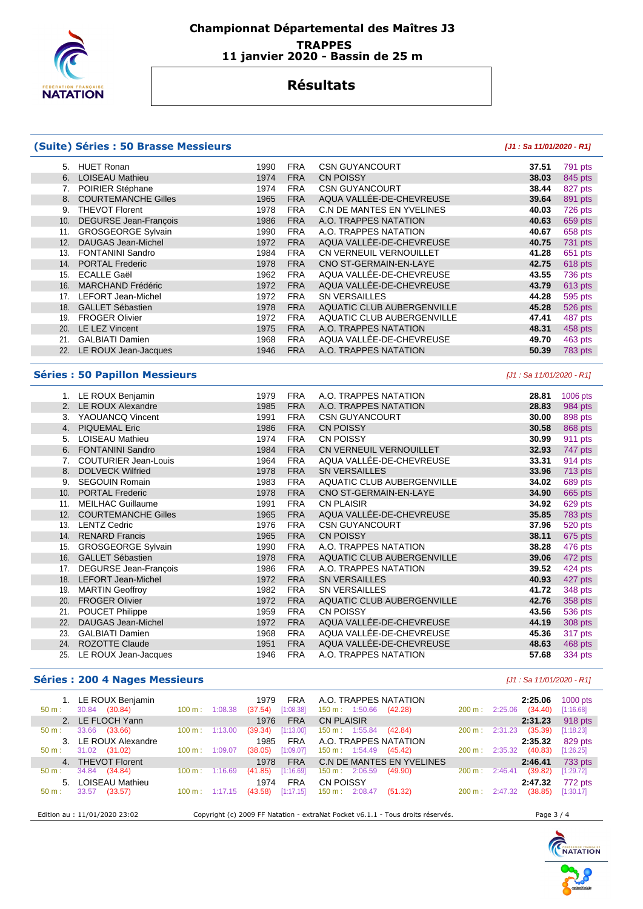

## **Championnat Départemental des Maîtres J3 TRAPPES 11 janvier 2020 - Bassin de 25 m**

## **Résultats**

### **(Suite) Séries : 50 Brasse Messieurs [J1 : Sa 11/01/2020 - R1]**

| 5.  | <b>HUET Ronan</b>            | 1990 | FRA        | <b>CSN GUYANCOURT</b>      | 37.51 | 791 pts |
|-----|------------------------------|------|------------|----------------------------|-------|---------|
| 6.  | <b>LOISEAU Mathieu</b>       | 1974 | <b>FRA</b> | <b>CN POISSY</b>           | 38.03 | 845 pts |
|     | POIRIER Stéphane             | 1974 | <b>FRA</b> | <b>CSN GUYANCOURT</b>      | 38.44 | 827 pts |
| 8.  | <b>COURTEMANCHE Gilles</b>   | 1965 | <b>FRA</b> | AQUA VALLÉE-DE-CHEVREUSE   | 39.64 | 891 pts |
| 9.  | <b>THEVOT Florent</b>        | 1978 | <b>FRA</b> | C.N DE MANTES EN YVELINES  | 40.03 | 726 pts |
| 10. | <b>DEGURSE Jean-François</b> | 1986 | <b>FRA</b> | A.O. TRAPPES NATATION      | 40.63 | 659 pts |
| 11. | <b>GROSGEORGE Sylvain</b>    | 1990 | <b>FRA</b> | A.O. TRAPPES NATATION      | 40.67 | 658 pts |
| 12. | <b>DAUGAS Jean-Michel</b>    | 1972 | <b>FRA</b> | AQUA VALLÉE-DE-CHEVREUSE   | 40.75 | 731 pts |
| 13. | <b>FONTANINI Sandro</b>      | 1984 | <b>FRA</b> | CN VERNEUIL VERNOUILLET    | 41.28 | 651 pts |
| 14. | <b>PORTAL Frederic</b>       | 1978 | <b>FRA</b> | CNO ST-GERMAIN-EN-LAYE     | 42.75 | 618 pts |
| 15. | <b>ECALLE Gaël</b>           | 1962 | <b>FRA</b> | AQUA VALLÉE-DE-CHEVREUSE   | 43.55 | 736 pts |
| 16. | <b>MARCHAND Frédéric</b>     | 1972 | <b>FRA</b> | AQUA VALLÉE-DE-CHEVREUSE   | 43.79 | 613 pts |
| 17. | <b>LEFORT Jean-Michel</b>    | 1972 | <b>FRA</b> | <b>SN VERSAILLES</b>       | 44.28 | 595 pts |
| 18. | <b>GALLET Sébastien</b>      | 1978 | <b>FRA</b> | AQUATIC CLUB AUBERGENVILLE | 45.28 | 526 pts |
| 19. | <b>FROGER Olivier</b>        | 1972 | <b>FRA</b> | AQUATIC CLUB AUBERGENVILLE | 47.41 | 487 pts |
| 20. | LE LEZ Vincent               | 1975 | <b>FRA</b> | A.O. TRAPPES NATATION      | 48.31 | 458 pts |
| 21. | <b>GALBIATI Damien</b>       | 1968 | <b>FRA</b> | AQUA VALLÉE-DE-CHEVREUSE   | 49.70 | 463 pts |
| 22. | LE ROUX Jean-Jacques         | 1946 | <b>FRA</b> | A.O. TRAPPES NATATION      | 50.39 | 783 pts |
|     |                              |      |            |                            |       |         |

#### **Séries : 50 Papillon Messieurs** [J1 : Sa 11/01/2020 - R1]

|     | 1. LE ROUX Benjamin         | 1979 | FRA        | A.O. TRAPPES NATATION             | 28.81 | 1006 pts |
|-----|-----------------------------|------|------------|-----------------------------------|-------|----------|
|     | 2. LE ROUX Alexandre        | 1985 | <b>FRA</b> | A.O. TRAPPES NATATION             | 28.83 | 984 pts  |
| 3.  | YAOUANCQ Vincent            | 1991 | <b>FRA</b> | <b>CSN GUYANCOURT</b>             | 30.00 | 898 pts  |
| 4.  | <b>PIQUEMAL Eric</b>        | 1986 | <b>FRA</b> | <b>CN POISSY</b>                  | 30.58 | 868 pts  |
| 5.  | LOISEAU Mathieu             | 1974 | <b>FRA</b> | <b>CN POISSY</b>                  | 30.99 | 911 pts  |
| 6.  | <b>FONTANINI Sandro</b>     | 1984 | <b>FRA</b> | CN VERNEUIL VERNOUILLET           | 32.93 | 747 pts  |
| 7.  | <b>COUTURIER Jean-Louis</b> | 1964 | <b>FRA</b> | AQUA VALLÉE-DE-CHEVREUSE          | 33.31 | 914 pts  |
| 8.  | <b>DOLVECK Wilfried</b>     | 1978 | <b>FRA</b> | <b>SN VERSAILLES</b>              | 33.96 | 713 pts  |
| 9.  | <b>SEGOUIN Romain</b>       | 1983 | <b>FRA</b> | <b>AQUATIC CLUB AUBERGENVILLE</b> | 34.02 | 689 pts  |
| 10. | <b>PORTAL Frederic</b>      | 1978 | <b>FRA</b> | CNO ST-GERMAIN-EN-LAYE            | 34.90 | 665 pts  |
| 11. | <b>MEILHAC Guillaume</b>    | 1991 | <b>FRA</b> | <b>CN PLAISIR</b>                 | 34.92 | 629 pts  |
| 12. | <b>COURTEMANCHE Gilles</b>  | 1965 | <b>FRA</b> | AQUA VALLÉE-DE-CHEVREUSE          | 35.85 | 783 pts  |
| 13. | <b>LENTZ Cedric</b>         | 1976 | <b>FRA</b> | <b>CSN GUYANCOURT</b>             | 37.96 | 520 pts  |
| 14. | <b>RENARD Francis</b>       | 1965 | <b>FRA</b> | <b>CN POISSY</b>                  | 38.11 | 675 pts  |
| 15. | <b>GROSGEORGE Sylvain</b>   | 1990 | FRA        | A.O. TRAPPES NATATION             | 38.28 | 476 pts  |
| 16. | <b>GALLET Sébastien</b>     | 1978 | <b>FRA</b> | AQUATIC CLUB AUBERGENVILLE        | 39.06 | 472 pts  |
| 17. | DEGURSE Jean-François       | 1986 | <b>FRA</b> | A.O. TRAPPES NATATION             | 39.52 | 424 pts  |
| 18. | <b>LEFORT Jean-Michel</b>   | 1972 | <b>FRA</b> | <b>SN VERSAILLES</b>              | 40.93 | 427 pts  |
| 19. | <b>MARTIN Geoffroy</b>      | 1982 | <b>FRA</b> | <b>SN VERSAILLES</b>              | 41.72 | 348 pts  |
| 20. | <b>FROGER Olivier</b>       | 1972 | <b>FRA</b> | AQUATIC CLUB AUBERGENVILLE        | 42.76 | 358 pts  |
| 21. | POUCET Philippe             | 1959 | <b>FRA</b> | <b>CN POISSY</b>                  | 43.56 | 536 pts  |
| 22. | <b>DAUGAS Jean-Michel</b>   | 1972 | <b>FRA</b> | AQUA VALLÉE-DE-CHEVREUSE          | 44.19 | 308 pts  |
| 23. | <b>GALBIATI Damien</b>      | 1968 | FRA        | AQUA VALLÉE-DE-CHEVREUSE          | 45.36 | 317 pts  |
| 24. | <b>ROZOTTE Claude</b>       | 1951 | <b>FRA</b> | AQUA VALLÉE-DE-CHEVREUSE          | 48.63 | 468 pts  |
| 25. | LE ROUX Jean-Jacques        | 1946 | <b>FRA</b> | A.O. TRAPPES NATATION             | 57.68 | 334 pts  |

## **Séries : 200 4 Nages Messieurs Contract Contract Contract Contract Contract Contract Contract Contract Contract Contract Contract Contract Contract Contract Contract Contract Contract Contract Contract Contract Contract**

| 1. LE ROUX Benjamin<br>(30.84)<br>30.84<br>$50 m$ : | 1:08.38<br>100 m:            | <b>FRA</b><br>1979<br>[1:08.38]<br>(37.54) | A.O. TRAPPES NATATION<br>$150 \text{ m}: 1:50.66$<br>(42.28)                    | 200 m:            | 2:25.06<br>2:25.06<br>(34.40) | $1000$ pts<br>[1:16.68] |
|-----------------------------------------------------|------------------------------|--------------------------------------------|---------------------------------------------------------------------------------|-------------------|-------------------------------|-------------------------|
| 2. LE FLOCH Yann                                    |                              | <b>FRA</b><br>1976                         | <b>CN PLAISIR</b>                                                               |                   | 2:31.23                       | 918 pts                 |
| 33.66<br>(33.66)<br>$50 m$ :                        | 100 m:<br>1:13.00            | [1:13.00]<br>(39.34)                       | $150 \text{ m}: 1:55.84$<br>(42.84)                                             | 200 m:            | 2:31.23<br>(35.39)            | [1:18.23]               |
| 3. LE ROUX Alexandre                                |                              | <b>FRA</b><br>1985                         | A.O. TRAPPES NATATION                                                           |                   | 2:35.32                       | 829 pts                 |
| 31.02<br>(31.02)<br>$50 m$ :                        | 1:09.07<br>$100 \text{ m}$ : | [1:09.07]<br>(38.05)                       | $150 \text{ m}: 1:54.49$<br>(45.42)                                             | 200 m:            | (40.83)<br>2:35.32            | $[1:26.25]$             |
| 4. THEVOT Florent                                   |                              | <b>FRA</b><br>1978                         | C.N DE MANTES EN YVELINES                                                       |                   | 2:46.41                       | 733 pts                 |
| 34.84<br>(34.84)<br>$50 m$ :                        | 1:16.69<br>$100 \text{ m}$ : | [1:16.69]<br>(41.85)                       | 2:06.59<br>150 m:<br>(49.90)                                                    | 200 m:            | (39.82)<br>2:46.41            | [1:29.72]               |
| LOISEAU Mathieu<br>5.                               |                              | <b>FRA</b><br>1974                         | CN POISSY                                                                       |                   | 2:47.32                       | 772 pts                 |
| 33.57<br>(33.57)<br>$50 m$ :                        | 100 m:<br>1:17.15            | [1:17.15]<br>(43.58)                       | $150 \text{ m}$ :<br>2:08.47<br>(51.32)                                         | $200 \text{ m}$ : | (38.85)<br>2:47.32            | [1:30.17]               |
| Edition au : 11/01/2020 23:02                       |                              |                                            | Copyright (c) 2009 FF Natation - extraNat Pocket v6.1.1 - Tous droits réservés. |                   | Page 3 / 4                    |                         |

**CHARGE THE NATION**